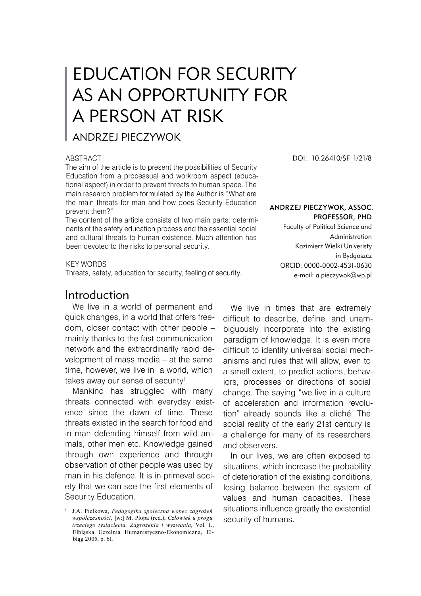# EDUCATION FOR SECURITY AS AN OPPORTUNITY FOR A PERSON AT RISK

### ANDRZEJ PIECZYWOK

#### ABSTRACT

The aim of the article is to present the possibilities of Security Education from a processual and workroom aspect (educational aspect) in order to prevent threats to human space. The main research problem formulated by the Author is "What are the main threats for man and how does Security Education prevent them?"

The content of the article consists of two main parts: determinants of the safety education process and the essential social and cultural threats to human existence. Much attention has been devoted to the risks to personal security.

#### KEY WORDS

Threats, safety, education for security, feeling of security.

### Introduction

We live in a world of permanent and quick changes, in a world that offers freedom, closer contact with other people – mainly thanks to the fast communication network and the extraordinarily rapid development of mass media – at the same time, however, we live in a world, which takes away our sense of security .

Mankind has struggled with many threats connected with everyday existence since the dawn of time. These threats existed in the search for food and in man defending himself from wild animals, other men etc. Knowledge gained through own experience and through observation of other people was used by man in his defence. It is in primeval society that we can see the first elements of Security Education.

DOI: 10.26410/SF\_1/21/8

#### Andrzej Pieczywok, Assoc. Professor, PhD

Faculty of Political Science and Administration Kazimierz Wielki Univeristy in Bydgoszcz ORCID: 0000-0002-4531-0630 e-mail: a.pieczywok@wp.pl

We live in times that are extremely difficult to describe, define, and unambiguously incorporate into the existing paradigm of knowledge. It is even more difficult to identify universal social mechanisms and rules that will allow, even to a small extent, to predict actions, behaviors, processes or directions of social change. The saying "we live in a culture of acceleration and information revolution" already sounds like a cliché. The social reality of the early 21st century is a challenge for many of its researchers and observers.

In our lives, we are often exposed to situations, which increase the probability of deterioration of the existing conditions, losing balance between the system of values and human capacities. These situations influence greatly the existential security of humans.

J.A. Pielkowa, *Pedagogika społeczna wobec zagrożeń współczesności,* [w:] M. Plopa (red.), *Człowiek u progu trzeciego tysiąclecia. Zagrożenia i wyzwania,* Vol*.* I., Elbląska Uczelnia Humanistyczno-Ekonomiczna, Elbląg 2005, p. 61.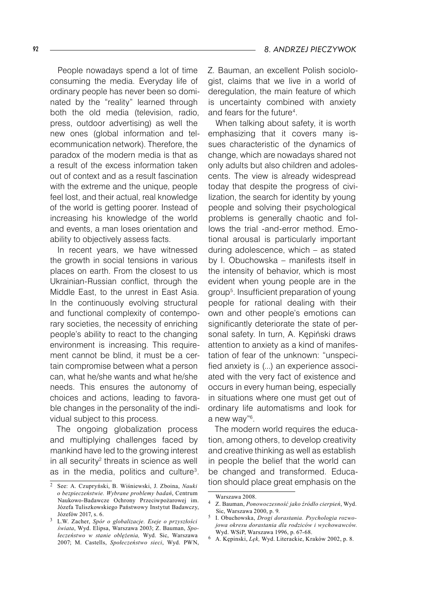People nowadays spend a lot of time consuming the media. Everyday life of ordinary people has never been so dominated by the "reality" learned through both the old media (television, radio, press, outdoor advertising) as well the new ones (global information and telecommunication network). Therefore, the paradox of the modern media is that as a result of the excess information taken out of context and as a result fascination with the extreme and the unique, people feel lost, and their actual, real knowledge of the world is getting poorer. Instead of increasing his knowledge of the world and events, a man loses orientation and ability to objectively assess facts.

In recent years, we have witnessed the growth in social tensions in various places on earth. From the closest to us Ukrainian-Russian conflict, through the Middle East, to the unrest in East Asia. In the continuously evolving structural and functional complexity of contemporary societies, the necessity of enriching people's ability to react to the changing environment is increasing. This requirement cannot be blind, it must be a certain compromise between what a person can, what he/she wants and what he/she needs. This ensures the autonomy of choices and actions, leading to favorable changes in the personality of the individual subject to this process.

The ongoing globalization process and multiplying challenges faced by mankind have led to the growing interest in all security $2$  threats in science as well as in the media, politics and culture<sup>3</sup>. Z. Bauman, an excellent Polish sociologist, claims that we live in a world of deregulation, the main feature of which is uncertainty combined with anxiety and fears for the future .

When talking about safety, it is worth emphasizing that it covers many issues characteristic of the dynamics of change, which are nowadays shared not only adults but also children and adolescents. The view is already widespread today that despite the progress of civilization, the search for identity by young people and solving their psychological problems is generally chaotic and follows the trial -and-error method. Emotional arousal is particularly important during adolescence, which – as stated by I. Obuchowska – manifests itself in the intensity of behavior, which is most evident when young people are in the group<sup>5</sup>. Insufficient preparation of young people for rational dealing with their own and other people's emotions can significantly deteriorate the state of personal safety. In turn, A. Kępiński draws attention to anxiety as a kind of manifestation of fear of the unknown: "unspecified anxiety is (...) an experience associated with the very fact of existence and occurs in every human being, especially in situations where one must get out of ordinary life automatisms and look for a new way"<sup>6</sup>.

The modern world requires the education, among others, to develop creativity and creative thinking as well as establish in people the belief that the world can be changed and transformed. Education should place great emphasis on the

See: A. Czupryński, B. Wiśniewski, J. Zboina, *Nauki o bezpieczeństwie. Wybrane problemy badań*, Centrum Naukowo-Badawcze Ochrony Przeciwpożarowej im. Józefa Tuliszkowskiego Państwowy Instytut Badawczy, Józefów 2017, s. 6.

L.W. Zacher, *Spór o globalizacje. Eseje o przyszłości świata*, Wyd. Elipsa, Warszawa 2003; Z. Bauman, *Społeczeństwo w stanie oblężenia,* Wyd. Sic, Warszawa 2007; M. Castells, *Społeczeństwo sieci*, Wyd. PWN,

Warszawa 2008.

Z. Bauman, *Ponowoczesność jako źródło cierpień*, Wyd. Sic, Warszawa 2000, p. 9.

I. Obuchowska, *Drogi dorastania. Psychologia rozwojowa okresu dorastania dla rodziców i wychowawców.*  Wyd. WSiP, Warszawa 1996, p. 67-68.

A. Kępinski, *Lęk,* Wyd. Literackie, Kraków 2002, p. 8.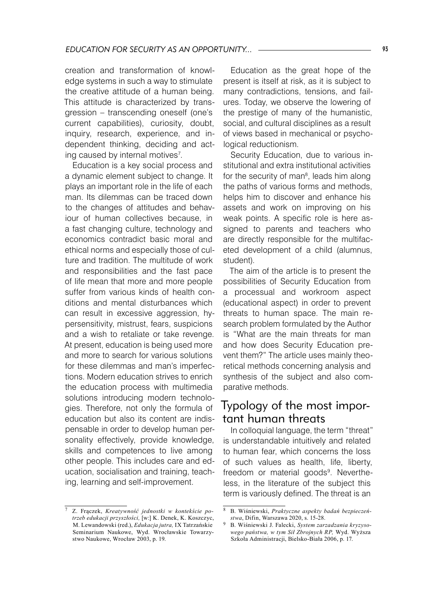creation and transformation of knowledge systems in such a way to stimulate the creative attitude of a human being. This attitude is characterized by transgression – transcending oneself (one's current capabilities), curiosity, doubt, inquiry, research, experience, and independent thinking, deciding and acting caused by internal motives .

Education is a key social process and a dynamic element subject to change. It plays an important role in the life of each man. Its dilemmas can be traced down to the changes of attitudes and behaviour of human collectives because, in a fast changing culture, technology and economics contradict basic moral and ethical norms and especially those of culture and tradition. The multitude of work and responsibilities and the fast pace of life mean that more and more people suffer from various kinds of health conditions and mental disturbances which can result in excessive aggression, hypersensitivity, mistrust, fears, suspicions and a wish to retaliate or take revenge. At present, education is being used more and more to search for various solutions for these dilemmas and man's imperfections. Modern education strives to enrich the education process with multimedia solutions introducing modern technologies. Therefore, not only the formula of education but also its content are indispensable in order to develop human personality effectively, provide knowledge, skills and competences to live among other people. This includes care and education, socialisation and training, teaching, learning and self-improvement.

Education as the great hope of the present is itself at risk, as it is subject to many contradictions, tensions, and failures. Today, we observe the lowering of the prestige of many of the humanistic, social, and cultural disciplines as a result of views based in mechanical or psychological reductionism.

Security Education, due to various institutional and extra institutional activities for the security of man<sup>8</sup>, leads him along the paths of various forms and methods, helps him to discover and enhance his assets and work on improving on his weak points. A specific role is here assigned to parents and teachers who are directly responsible for the multifaceted development of a child (alumnus, student).

The aim of the article is to present the possibilities of Security Education from a processual and workroom aspect (educational aspect) in order to prevent threats to human space. The main research problem formulated by the Author is "What are the main threats for man and how does Security Education prevent them?" The article uses mainly theoretical methods concerning analysis and synthesis of the subject and also comparative methods.

# Typology of the most important human threats

In colloquial language, the term "threat" is understandable intuitively and related to human fear, which concerns the loss of such values as health, life, liberty, freedom or material goods<sup>9</sup>. Nevertheless, in the literature of the subject this term is variously defined. The threat is an

Z. Frączek, *Kreatywność jednostki w kontekście potrzeb edukacji przyszłości,* [w:] K. Denek, K. Koszczyc, M. Lewandowski (red.), *Edukacja jutra,* IX Tatrzańskie Seminarium Naukowe, Wyd. Wrocławskie Towarzystwo Naukowe, Wrocław 2003, p. 19.

 $\mathbf{g}$ B. Wiśniewski, *Praktyczne aspekty badań bezpieczeństwa*, Difin, Warszawa 2020, s. 15-28.

<sup>9</sup> B. Wiśniewski J. Falecki, *System zarzadzania kryzysowego państwa, w tym Sił Zbrojnych RP,* Wyd. Wyższa Szkoła Administracji, Bielsko-Biała 2006, p. 17.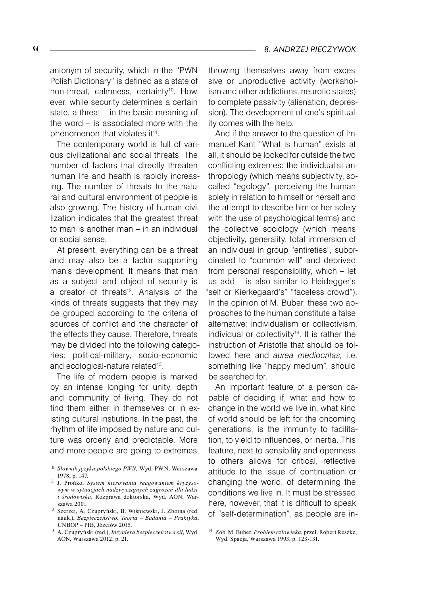antonym of security, which in the "PWN Polish Dictionary" is defined as a state of non-threat, calmness, certainty<sup>10</sup>. However, while security determines a certain state, a threat – in the basic meaning of the word – is associated more with the phenomenon that violates it<sup>11</sup>.

The contemporary world is full of various civilizational and social threats. The number of factors that directly threaten human life and health is rapidly increasing. The number of threats to the natural and cultural environment of people is also growing. The history of human civilization indicates that the greatest threat to man is another man – in an individual or social sense.

At present, everything can be a threat and may also be a factor supporting man's development. It means that man as a subject and object of security is a creator of threats<sup>12</sup>. Analysis of the kinds of threats suggests that they may be grouped according to the criteria of sources of conflict and the character of the effects they cause. Therefore, threats may be divided into the following categories: political-military, socio-economic and ecological-nature related<sup>13</sup>.

The life of modern people is marked by an intense longing for unity, depth and community of living. They do not find them either in themselves or in existing cultural instiutions. In the past, the rhythm of life imposed by nature and culture was orderly and predictable. More and more people are going to extremes,

throwing themselves away from excessive or unproductive activity (workaholism and other addictions, neurotic states) to complete passivity (alienation, depression). The development of one's spirituality comes with the help.

And if the answer to the question of Immanuel Kant "What is human" exists at all, it should be looked for outside the two conflicting extremes: the individualist anthropology (which means subjectivity, socalled "egology", perceiving the human solely in relation to himself or herself and the attempt to describe him or her solely with the use of psychological terms) and the collective sociology (which means objectivity, generality, total immersion of an individual in group "entireties", subordinated to "common will" and deprived from personal responsibility, which – let us add – is also similar to Heidegger's self or Kierkegaard's" "faceless crowd"). In the opinion of M. Buber, these two approaches to the human constitute a false alternative: individualism or collectivism, individual or collectivity<sup>14</sup>. It is rather the instruction of Aristotle that should be followed here and *aurea mediocritas,* i.e. something like "happy medium", should be searched for.

An important feature of a person capable of deciding if, what and how to change in the world we live in, what kind of world should be left for the oncoming generations, is the immunity to facilitation, to yield to influences, or inertia. This feature, next to sensibility and openness to others allows for critical, reflective attitude to the issue of continuation or changing the world, of determining the conditions we live in. It must be stressed here, however, that it is difficult to speak of "self-determination", as people are in-

<sup>10</sup> *Słownik języka polskiego PWN,* Wyd. PWN, Warszawa 1978, p. 147.

<sup>11</sup> J. Prońko, *System kierowania reagowaniem kryzysowym w sytuacjach nadzwyczajnych zagrożeń dla ludzi i środowiska*. Rozprawa doktorska, Wyd. AON, Warszawa 2001.

<sup>12</sup> Szerzej, A. Czupryński, B. Wiśniewski, J. Zboina (red. nauk.), *Bezpieczeństwo. Teoria – Badania – Praktyka*, CNBOP – PIB, Józefów 2015.

<sup>13</sup> A. Czupryński (red.), *Inżyniera bezpieczeństwa sił*, Wyd. AON, Warszawa 2012, p. 21.

<sup>14</sup> Zob. M. Buber, *Problem człowieka*, przeł. Robert Reszke, Wyd. Spacja, Warszawa 1993, p. 123-131.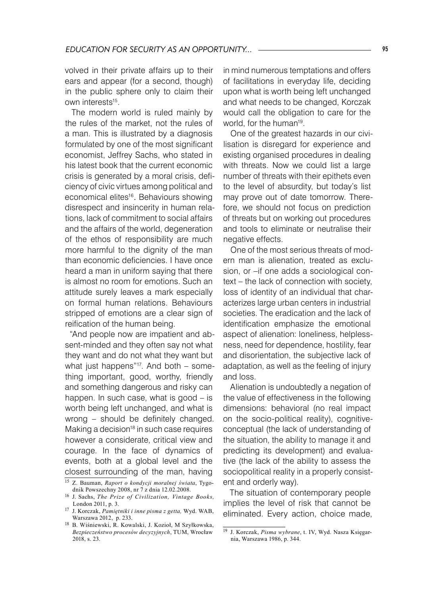volved in their private affairs up to their ears and appear (for a second, though) in the public sphere only to claim their own interests<sup>15</sup>.

The modern world is ruled mainly by the rules of the market, not the rules of a man. This is illustrated by a diagnosis formulated by one of the most significant economist, Jeffrey Sachs, who stated in his latest book that the current economic crisis is generated by a moral crisis, deficiency of civic virtues among political and economical elites<sup>16</sup>. Behaviours showing disrespect and insincerity in human relations, lack of commitment to social affairs and the affairs of the world, degeneration of the ethos of responsibility are much more harmful to the dignity of the man than economic deficiencies. I have once heard a man in uniform saying that there is almost no room for emotions. Such an attitude surely leaves a mark especially on formal human relations. Behaviours stripped of emotions are a clear sign of reification of the human being.

"And people now are impatient and absent-minded and they often say not what they want and do not what they want but what just happens"<sup>17</sup>. And both – something important, good, worthy, friendly and something dangerous and risky can happen. In such case, what is good – is worth being left unchanged, and what is wrong – should be definitely changed. Making a decision $18$  in such case requires however a considerate, critical view and courage. In the face of dynamics of events, both at a global level and the closest surrounding of the man, having

in mind numerous temptations and offers of facilitations in everyday life, deciding upon what is worth being left unchanged and what needs to be changed, Korczak would call the obligation to care for the world, for the human<sup>19</sup>.

One of the greatest hazards in our civilisation is disregard for experience and existing organised procedures in dealing with threats. Now we could list a large number of threats with their epithets even to the level of absurdity, but today's list may prove out of date tomorrow. Therefore, we should not focus on prediction of threats but on working out procedures and tools to eliminate or neutralise their negative effects.

One of the most serious threats of modern man is alienation, treated as exclusion, or –if one adds a sociological context – the lack of connection with society, loss of identity of an individual that characterizes large urban centers in industrial societies. The eradication and the lack of identification emphasize the emotional aspect of alienation: loneliness, helplessness, need for dependence, hostility, fear and disorientation, the subjective lack of adaptation, as well as the feeling of injury and loss.

Alienation is undoubtedly a negation of the value of effectiveness in the following dimensions: behavioral (no real impact on the socio-political reality), cognitiveconceptual (the lack of understanding of the situation, the ability to manage it and predicting its development) and evaluative (the lack of the ability to assess the sociopolitical reality in a properly consistent and orderly way).

The situation of contemporary people implies the level of risk that cannot be eliminated. Every action, choice made,

<sup>15</sup> Z. Bauman, *Raport o kondycji moralnej świata*, Tygodnik Powszechny 2008, nr 7 z dnia 12.02.2008.

<sup>16</sup> J. Sachs, *The Prize of Civilization, Vintage Books,*  London 2011, p. 3.

<sup>17</sup> J. Korczak, *Pamiętniki i inne pisma z getta,* Wyd. WAB, Warszawa 2012, p. 233.

<sup>18</sup> B. Wiśniewski, R. Kowalski, J. Kozioł, M Szyłkowska, *Bezpieczeństwo procesów decyzyjnych*, TUM, Wrocław 2018, s. 23.

<sup>19</sup> J. Korczak, *Pisma wybrane*, t. IV, Wyd. Nasza Księgarnia, Warszawa 1986, p. 344.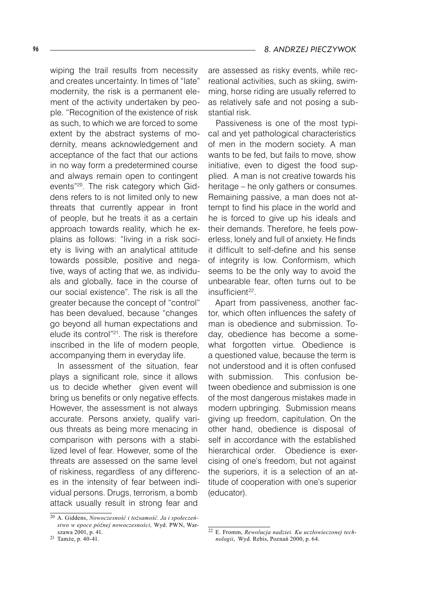wiping the trail results from necessity and creates uncertainty. In times of "late" modernity, the risk is a permanent element of the activity undertaken by people. "Recognition of the existence of risk as such, to which we are forced to some extent by the abstract systems of modernity, means acknowledgement and acceptance of the fact that our actions in no way form a predetermined course and always remain open to contingent events"20. The risk category which Giddens refers to is not limited only to new threats that currently appear in front of people, but he treats it as a certain approach towards reality, which he explains as follows: "living in a risk society is living with an analytical attitude towards possible, positive and negative, ways of acting that we, as individuals and globally, face in the course of our social existence". The risk is all the greater because the concept of "control" has been devalued, because "changes go beyond all human expectations and elude its control"21 . The risk is therefore inscribed in the life of modern people, accompanying them in everyday life.

In assessment of the situation, fear plays a significant role, since it allows us to decide whether given event will bring us benefits or only negative effects. However, the assessment is not always accurate. Persons anxiety, qualify various threats as being more menacing in comparison with persons with a stabilized level of fear. However, some of the threats are assessed on the same level of riskiness, regardless of any differences in the intensity of fear between individual persons. Drugs, terrorism, a bomb attack usually result in strong fear and

are assessed as risky events, while recreational activities, such as skiing, swimming, horse riding are usually referred to as relatively safe and not posing a substantial risk.

Passiveness is one of the most typical and yet pathological characteristics of men in the modern society. A man wants to be fed, but fails to move, show initiative, even to digest the food supplied. A man is not creative towards his heritage – he only gathers or consumes. Remaining passive, a man does not attempt to find his place in the world and he is forced to give up his ideals and their demands. Therefore, he feels powerless, lonely and full of anxiety. He finds it difficult to self-define and his sense of integrity is low. Conformism, which seems to be the only way to avoid the unbearable fear, often turns out to be insufficient22.

Apart from passiveness, another factor, which often influences the safety of man is obedience and submission. Today, obedience has become a somewhat forgotten virtue. Obedience is a questioned value, because the term is not understood and it is often confused with submission. This confusion between obedience and submission is one of the most dangerous mistakes made in modern upbringing. Submission means giving up freedom, capitulation. On the other hand, obedience is disposal of self in accordance with the established hierarchical order. Obedience is exercising of one's freedom, but not against the superiors, it is a selection of an attitude of cooperation with one's superior (educator).

<sup>20</sup> A. Giddens, *Nowoczesność i tożsamość. Ja i społeczeństwo w epoce późnej nowoczesności,* Wyd. PWN, Warszawa 2001, p. 41.

<sup>21</sup> Tamże, p. 40-41.

<sup>22</sup> E. Fromm, *Rewolucja nadziei. Ku uczłowieczonej technologii*, Wyd. Rebis, Poznań 2000, p. 64.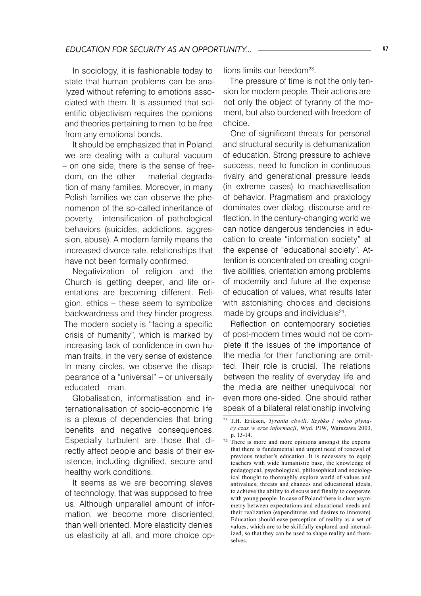In sociology, it is fashionable today to state that human problems can be analyzed without referring to emotions associated with them. It is assumed that scientific objectivism requires the opinions and theories pertaining to men to be free from any emotional bonds.

It should be emphasized that in Poland, we are dealing with a cultural vacuum – on one side, there is the sense of freedom, on the other – material degradation of many families. Moreover, in many Polish families we can observe the phenomenon of the so-called inheritance of poverty, intensification of pathological behaviors (suicides, addictions, aggression, abuse). A modern family means the increased divorce rate, relationships that have not been formally confirmed.

Negativization of religion and the Church is getting deeper, and life orientations are becoming different. Religion, ethics – these seem to symbolize backwardness and they hinder progress. The modern society is "facing a specific crisis of humanity", which is marked by increasing lack of confidence in own human traits, in the very sense of existence. In many circles, we observe the disappearance of a "universal" – or universally educated – man.

Globalisation, informatisation and internationalisation of socio-economic life is a plexus of dependencies that bring benefits and negative consequences. Especially turbulent are those that directly affect people and basis of their existence, including dignified, secure and healthy work conditions.

It seems as we are becoming slaves of technology, that was supposed to free us. Although unparallel amount of information, we become more disoriented, than well oriented. More elasticity denies us elasticity at all, and more choice options limits our freedom<sup>23</sup>.

The pressure of time is not the only tension for modern people. Their actions are not only the object of tyranny of the moment, but also burdened with freedom of choice.

One of significant threats for personal and structural security is dehumanization of education. Strong pressure to achieve success, need to function in continuous rivalry and generational pressure leads (in extreme cases) to machiavellisation of behavior. Pragmatism and praxiology dominates over dialog, discourse and reflection. In the century-changing world we can notice dangerous tendencies in education to create "information society" at the expense of "educational society". Attention is concentrated on creating cognitive abilities, orientation among problems of modernity and future at the expense of education of values, what results later with astonishing choices and decisions made by groups and individuals $24$ .

Reflection on contemporary societies of post-modern times would not be complete if the issues of the importance of the media for their functioning are omitted. Their role is crucial. The relations between the reality of everyday life and the media are neither unequivocal nor even more one-sided. One should rather speak of a bilateral relationship involving

<sup>23</sup> T.H. Eriksen, *Tyrania chwili. Szybko i wolno płynący czas w erze informacji*, Wyd. PIW, Warszawa 2003, p. 13-14.

<sup>24</sup> There is more and more opinions amongst the experts that there is fundamental and urgent need of renewal of previous teacher's education. It is necessary to equip teachers with wide humanistic base, the knowledge of pedagogical, psychological, philosophical and sociological thought to thoroughly explore world of values and antivalues, threats and chances and educational ideals, to achieve the ability to discuss and finally to cooperate with young people. In case of Poland there is clear asymmetry between expectations and educational needs and their realization (expenditures and desires to innovate). Education should ease perception of reality as a set of values, which are to be skillfully explored and internalized, so that they can be used to shape reality and themselves.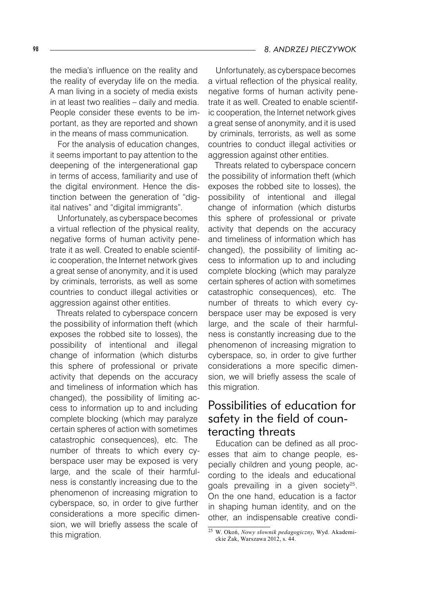the media's influence on the reality and the reality of everyday life on the media. A man living in a society of media exists in at least two realities – daily and media. People consider these events to be important, as they are reported and shown in the means of mass communication.

For the analysis of education changes, it seems important to pay attention to the deepening of the intergenerational gap in terms of access, familiarity and use of the digital environment. Hence the distinction between the generation of "digital natives" and "digital immigrants".

Unfortunately, as cyberspace becomes a virtual reflection of the physical reality, negative forms of human activity penetrate it as well. Created to enable scientific cooperation, the Internet network gives a great sense of anonymity, and it is used by criminals, terrorists, as well as some countries to conduct illegal activities or aggression against other entities.

Threats related to cyberspace concern the possibility of information theft (which exposes the robbed site to losses), the possibility of intentional and illegal change of information (which disturbs this sphere of professional or private activity that depends on the accuracy and timeliness of information which has changed), the possibility of limiting access to information up to and including complete blocking (which may paralyze certain spheres of action with sometimes catastrophic consequences), etc. The number of threats to which every cyberspace user may be exposed is very large, and the scale of their harmfulness is constantly increasing due to the phenomenon of increasing migration to cyberspace, so, in order to give further considerations a more specific dimension, we will briefly assess the scale of this migration.

Unfortunately, as cyberspace becomes a virtual reflection of the physical reality, negative forms of human activity penetrate it as well. Created to enable scientific cooperation, the Internet network gives a great sense of anonymity, and it is used by criminals, terrorists, as well as some countries to conduct illegal activities or aggression against other entities.

Threats related to cyberspace concern the possibility of information theft (which exposes the robbed site to losses), the possibility of intentional and illegal change of information (which disturbs this sphere of professional or private activity that depends on the accuracy and timeliness of information which has changed), the possibility of limiting access to information up to and including complete blocking (which may paralyze certain spheres of action with sometimes catastrophic consequences), etc. The number of threats to which every cyberspace user may be exposed is very large, and the scale of their harmfulness is constantly increasing due to the phenomenon of increasing migration to cyberspace, so, in order to give further considerations a more specific dimension, we will briefly assess the scale of this migration.

## Possibilities of education for safety in the field of counteracting threats

Education can be defined as all processes that aim to change people, especially children and young people, according to the ideals and educational goals prevailing in a given society<sup>25</sup>. On the one hand, education is a factor in shaping human identity, and on the other, an indispensable creative condi-

<sup>25</sup> W. Okoń, *Nowy słownik pedagogiczny*, Wyd. Akademickie Żak, Warszawa 2012, s. 44.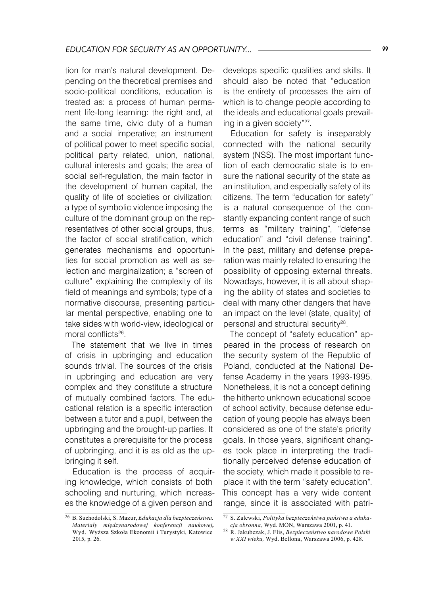tion for man's natural development. Depending on the theoretical premises and socio-political conditions, education is treated as: a process of human permanent life-long learning: the right and, at the same time, civic duty of a human and a social imperative; an instrument of political power to meet specific social, political party related, union, national, cultural interests and goals; the area of social self-regulation, the main factor in the development of human capital, the quality of life of societies or civilization: a type of symbolic violence imposing the culture of the dominant group on the representatives of other social groups, thus, the factor of social stratification, which generates mechanisms and opportunities for social promotion as well as selection and marginalization; a "screen of culture" explaining the complexity of its field of meanings and symbols; type of a normative discourse, presenting particular mental perspective, enabling one to take sides with world-view, ideological or moral conflicts<sup>26</sup>.

The statement that we live in times of crisis in upbringing and education sounds trivial. The sources of the crisis in upbringing and education are very complex and they constitute a structure of mutually combined factors. The educational relation is a specific interaction between a tutor and a pupil, between the upbringing and the brought-up parties. It constitutes a prerequisite for the process of upbringing, and it is as old as the upbringing it self.

Education is the process of acquiring knowledge, which consists of both schooling and nurturing, which increases the knowledge of a given person and

develops specific qualities and skills. It should also be noted that "education is the entirety of processes the aim of which is to change people according to the ideals and educational goals prevailing in a given society"27 .

Education for safety is inseparably connected with the national security system (NSS). The most important function of each democratic state is to ensure the national security of the state as an institution, and especially safety of its citizens. The term "education for safety" is a natural consequence of the constantly expanding content range of such terms as "military training", "defense education" and "civil defense training". In the past, military and defense preparation was mainly related to ensuring the possibility of opposing external threats. Nowadays, however, it is all about shaping the ability of states and societies to deal with many other dangers that have an impact on the level (state, quality) of personal and structural security $28$ .

The concept of "safety education" appeared in the process of research on the security system of the Republic of Poland, conducted at the National Defense Academy in the years 1993-1995. Nonetheless, it is not a concept defining the hitherto unknown educational scope of school activity, because defense education of young people has always been considered as one of the state's priority goals. In those years, significant changes took place in interpreting the traditionally perceived defense education of the society, which made it possible to replace it with the term "safety education". This concept has a very wide content range, since it is associated with patri-

<sup>26</sup> B. Suchodolski, S. Mazur, *Edukacja dla bezpieczeństwa. Materiały międzynarodowej konferencji naukowej,* Wyd. Wyższa Szkoła Ekonomii i Turystyki, Katowice 2015, p. 26.

<sup>27</sup> S. Zalewski, *Polityka bezpieczeństwa państwa a edukacja obronna,* Wyd. MON, Warszawa 2001, p. 41.

<sup>28</sup> R. Jakubczak, J. Flis, *Bezpieczeństwo narodowe Polski w XXI wieku,* Wyd. Bellona, Warszawa 2006, p. 428.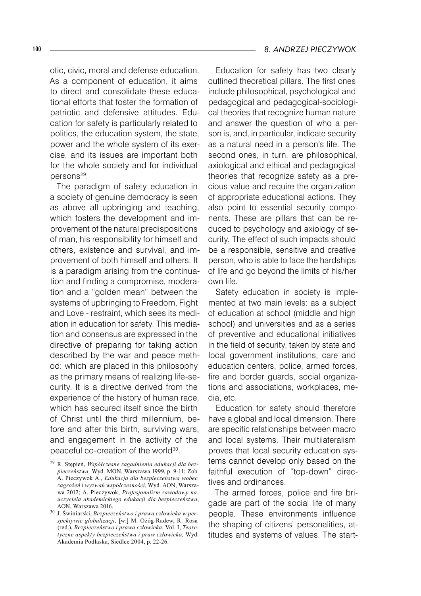otic, civic, moral and defense education. As a component of education, it aims to direct and consolidate these educational efforts that foster the formation of patriotic and defensive attitudes. Education for safety is particularly related to politics, the education system, the state, power and the whole system of its exercise, and its issues are important both for the whole society and for individual persons<sup>29</sup>.

The paradigm of safety education in a society of genuine democracy is seen as above all upbringing and teaching, which fosters the development and improvement of the natural predispositions of man, his responsibility for himself and others, existence and survival, and improvement of both himself and others. It is a paradigm arising from the continuation and finding a compromise, moderation and a "golden mean" between the systems of upbringing to Freedom, Fight and Love - restraint, which sees its mediation in education for safety. This mediation and consensus are expressed in the directive of preparing for taking action described by the war and peace method: which are placed in this philosophy as the primary means of realizing life-security. It is a directive derived from the experience of the history of human race, which has secured itself since the birth of Christ until the third millennium, before and after this birth, surviving wars, and engagement in the activity of the peaceful co-creation of the world<sup>30</sup>.

Education for safety has two clearly outlined theoretical pillars. The first ones include philosophical, psychological and pedagogical and pedagogical-sociological theories that recognize human nature and answer the question of who a person is, and, in particular, indicate security as a natural need in a person's life. The second ones, in turn, are philosophical, axiological and ethical and pedagogical theories that recognize safety as a precious value and require the organization of appropriate educational actions. They also point to essential security components. These are pillars that can be reduced to psychology and axiology of security. The effect of such impacts should be a responsible, sensitive and creative person, who is able to face the hardships of life and go beyond the limits of his/her own life.

Safety education in society is implemented at two main levels: as a subject of education at school (middle and high school) and universities and as a series of preventive and educational initiatives in the field of security, taken by state and local government institutions, care and education centers, police, armed forces, fire and border guards, social organizations and associations, workplaces, media, etc.

Education for safety should therefore have a global and local dimension. There are specific relationships between macro and local systems. Their multilateralism proves that local security education systems cannot develop only based on the faithful execution of "top-down" directives and ordinances.

The armed forces, police and fire brigade are part of the social life of many people. These environments influence the shaping of citizens' personalities, attitudes and systems of values. The start-

<sup>29</sup> R. Stępień, *Współczesne zagadnienia edukacji dla bezpieczeństwa,* Wyd. MON, Warszawa 1999, p. 9-11; Zob. A. Pieczywok A., *Edukacja dla bezpieczeństwa wobec zagrożeń i wyzwań współczesności*, Wyd. AON, Warszawa 2012; A. Pieczywok, *Profesjonalizm zawodowy nauczyciela akademickiego edukacji dla bezpieczeństwa*, AON, Warszawa 2016.

<sup>30</sup> J. Świniarski, *Bezpieczeństwo i prawa człowieka w perspektywie globalizacji,* [w:] M. Ożóg-Radew, R. Rosa (red.), *Bezpieczeństwo i prawa człowieka.* Vol. I, *Teoretyczne aspekty bezpieczeństwa i praw człowieka,* Wyd. Akademia Podlaska, Siedlce 2004, p. 22-26.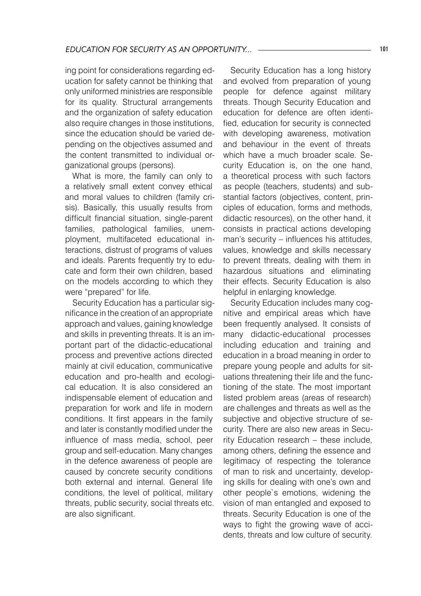ing point for considerations regarding education for safety cannot be thinking that only uniformed ministries are responsible for its quality. Structural arrangements and the organization of safety education also require changes in those institutions, since the education should be varied depending on the objectives assumed and the content transmitted to individual organizational groups (persons).

What is more, the family can only to a relatively small extent convey ethical and moral values to children (family crisis). Basically, this usually results from difficult financial situation, single-parent families, pathological families, unemployment, multifaceted educational interactions, distrust of programs of values and ideals. Parents frequently try to educate and form their own children, based on the models according to which they were "prepared" for life.

Security Education has a particular significance in the creation of an appropriate approach and values, gaining knowledge and skills in preventing threats. It is an important part of the didactic-educational process and preventive actions directed mainly at civil education, communicative education and pro-health and ecological education. It is also considered an indispensable element of education and preparation for work and life in modern conditions. It first appears in the family and later is constantly modified under the influence of mass media, school, peer group and self-education. Many changes in the defence awareness of people are caused by concrete security conditions both external and internal. General life conditions, the level of political, military threats, public security, social threats etc. are also significant.

Security Education has a long history and evolved from preparation of young people for defence against military threats. Though Security Education and education for defence are often identified, education for security is connected with developing awareness, motivation and behaviour in the event of threats which have a much broader scale. Security Education is, on the one hand, a theoretical process with such factors as people (teachers, students) and substantial factors (objectives, content, principles of education, forms and methods, didactic resources), on the other hand, it consists in practical actions developing man's security – influences his attitudes, values, knowledge and skills necessary to prevent threats, dealing with them in hazardous situations and eliminating their effects. Security Education is also helpful in enlarging knowledge.

Security Education includes many cognitive and empirical areas which have been frequently analysed. It consists of many didactic-educational processes including education and training and education in a broad meaning in order to prepare young people and adults for situations threatening their life and the functioning of the state. The most important listed problem areas (areas of research) are challenges and threats as well as the subjective and objective structure of security. There are also new areas in Security Education research – these include, among others, defining the essence and legitimacy of respecting the tolerance of man to risk and uncertainty, developing skills for dealing with one's own and other people`s emotions, widening the vision of man entangled and exposed to threats. Security Education is one of the ways to fight the growing wave of accidents, threats and low culture of security.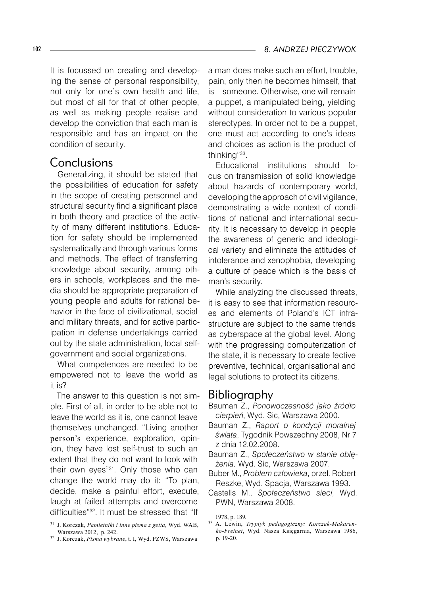It is focussed on creating and developing the sense of personal responsibility, not only for one`s own health and life, but most of all for that of other people, as well as making people realise and develop the conviction that each man is responsible and has an impact on the condition of security.

### Conclusions

Generalizing, it should be stated that the possibilities of education for safety in the scope of creating personnel and structural security find a significant place in both theory and practice of the activity of many different institutions. Education for safety should be implemented systematically and through various forms and methods. The effect of transferring knowledge about security, among others in schools, workplaces and the media should be appropriate preparation of young people and adults for rational behavior in the face of civilizational, social and military threats, and for active participation in defense undertakings carried out by the state administration, local selfgovernment and social organizations.

What competences are needed to be empowered not to leave the world as it is?

The answer to this question is not simple. First of all, in order to be able not to leave the world as it is, one cannot leave themselves unchanged. "Living another person's experience, exploration, opinion, they have lost self-trust to such an extent that they do not want to look with their own eyes"<sup>31</sup>. Only those who can change the world may do it: "To plan, decide, make a painful effort, execute, laugh at failed attempts and overcome difficulties"32 . It must be stressed that "If

a man does make such an effort, trouble, pain, only then he becomes himself, that is – someone. Otherwise, one will remain a puppet, a manipulated being, yielding without consideration to various popular stereotypes. In order not to be a puppet, one must act according to one's ideas and choices as action is the product of thinking"33.

Educational institutions should focus on transmission of solid knowledge about hazards of contemporary world, developing the approach of civil vigilance, demonstrating a wide context of conditions of national and international security. It is necessary to develop in people the awareness of generic and ideological variety and eliminate the attitudes of intolerance and xenophobia, developing a culture of peace which is the basis of man's security.

While analyzing the discussed threats, it is easy to see that information resources and elements of Poland's ICT infrastructure are subject to the same trends as cyberspace at the global level. Along with the progressing computerization of the state, it is necessary to create fective preventive, technical, organisational and legal solutions to protect its citizens.

### Bibliography

- Bauman Z., *Ponowoczesność jako źródło cierpień*, Wyd. Sic, Warszawa 2000.
- Bauman Z., *Raport o kondycji moralnej świata*, Tygodnik Powszechny 2008, Nr 7 z dnia 12.02.2008.
- Bauman Z., *Społeczeństwo w stanie oblężenia,* Wyd. Sic, Warszawa 2007.
- Buber M., *Problem człowieka*, przeł. Robert Reszke, Wyd. Spacja, Warszawa 1993.
- Castells M., *Społeczeństwo sieci*, Wyd. PWN, Warszawa 2008.

<sup>31</sup> J. Korczak, *Pamiętniki i inne pisma z getta,* Wyd. WAB, Warszawa 2012, p. 242.

<sup>32</sup> J. Korczak, *Pisma wybrane*, t. I, Wyd. PZWS, Warszawa

<sup>1978,</sup> p. 189.

<sup>33</sup> A. Lewin, *Tryptyk pedagogiczny: Korczak-Makarenko-Freinet*, Wyd. Nasza Księgarnia, Warszawa 1986, p. 19-20.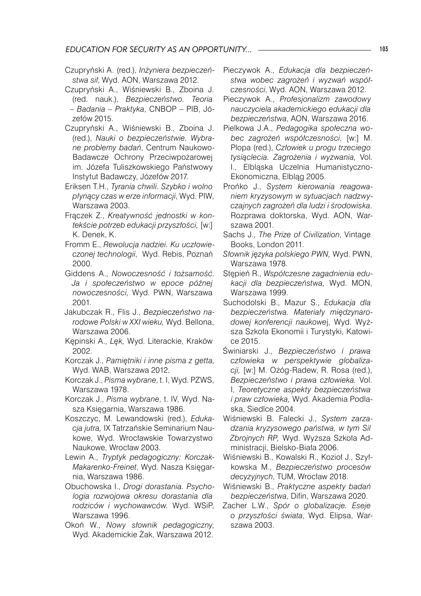- Czupryński A. (red.), *Inżyniera bezpieczeństwa sił*, Wyd. AON, Warszawa 2012.
- Czupryński A., Wiśniewski B., Zboina J. (red. nauk.), *Bezpieczeństwo. Teoria – Badania – Praktyka*, CNBOP – PIB, Józefów 2015.
- Czupryński A., Wiśniewski B., Zboina J. (red.), *Nauki o bezpieczeństwie. Wybrane problemy badań*, Centrum Naukowo-Badawcze Ochrony Przeciwpożarowej im. Józefa Tuliszkowskiego Państwowy Instytut Badawczy, Józefów 2017.
- Eriksen T.H., *Tyrania chwili. Szybko i wolno płynący czas w erze informacji*, Wyd. PIW, Warszawa 2003.
- Frączek Z., *Kreatywność jednostki w kontekście potrzeb edukacji przyszłości,* [w:] K. Denek, K.
- Fromm E., *Rewolucja nadziei. Ku uczłowieczonej technologii*, Wyd. Rebis, Poznań 2000.
- Giddens A., *Nowoczesność i tożsamość. Ja i społeczeństwo w epoce późnej nowoczesności,* Wyd. PWN, Warszawa 2001.
- Jakubczak R., Flis J., *Bezpieczeństwo narodowe Polski w XXI wieku,* Wyd. Bellona, Warszawa 2006.
- Kępinski A., *Lęk,* Wyd. Literackie, Kraków 2002.
- Korczak J., *Pamiętniki i inne pisma z getta,*  Wyd. WAB, Warszawa 2012.
- Korczak J., *Pisma wybrane*, t. I, Wyd. PZWS, Warszawa 1978.
- Korczak J., *Pisma wybrane*, t. IV, Wyd. Nasza Księgarnia, Warszawa 1986.
- Koszczyc, M. Lewandowski (red.), *Edukacja jutra,* IX Tatrzańskie Seminarium Naukowe, Wyd. Wrocławskie Towarzystwo Naukowe, Wrocław 2003.
- Lewin A., *Tryptyk pedagogiczny: Korczak-Makarenko-Freinet*, Wyd. Nasza Księgarnia, Warszawa 1986.
- Obuchowska I., *Drogi dorastania. Psychologia rozwojowa okresu dorastania dla rodziców i wychowawców.* Wyd. WSiP, Warszawa 1996.
- Okoń W., *Nowy słownik pedagogiczny*, Wyd. Akademickie Żak, Warszawa 2012.
- Pieczywok A., *Edukacja dla bezpieczeństwa wobec zagrożeń i wyzwań współczesności*, Wyd. AON, Warszawa 2012.
- Pieczywok A., *Profesjonalizm zawodowy nauczyciela akademickiego edukacji dla bezpieczeństwa*, AON, Warszawa 2016.
- Pielkowa J.A., *Pedagogika społeczna wobec zagrożeń współczesności*, [w:] M. Plopa (red.), *Człowiek u progu trzeciego tysiąclecia. Zagrożenia i wyzwania,* Vol*.* I., Elbląska Uczelnia Humanistyczno-Ekonomiczna, Elbląg 2005.
- Prońko J., *System kierowania reagowaniem kryzysowym w sytuacjach nadzwyczajnych zagrożeń dla ludzi i środowiska*. Rozprawa doktorska, Wyd. AON, Warszawa 2001.
- Sachs J., *The Prize of Civilization*, Vintage Books, London 2011.
- *Słownik języka polskiego PWN,* Wyd. PWN, Warszawa 1978.
- Stępień R., *Współczesne zagadnienia edukacji dla bezpieczeństwa,* Wyd. MON, Warszawa 1999.
- Suchodolski B., Mazur S., *Edukacja dla bezpieczeństwa. Materiały międzynarodowej konferencji naukowe*j, Wyd. Wyższa Szkoła Ekonomii i Turystyki, Katowice 2015.
- Świniarski J., *Bezpieczeństwo i prawa człowieka w perspektywie globalizacji,* [w:] M. Ożóg-Radew, R. Rosa (red.), *Bezpieczeństwo i prawa człowieka.* Vol. I, *Teoretyczne aspekty bezpieczeństwa i praw człowieka,* Wyd. Akademia Podla-
- ska, Siedlce 2004. Wiśniewski B. Falecki J., *System zarzadzania kryzysowego państwa, w tym Sil Zbrojnych RP,* Wyd. Wyższa Szkoła Administracji, Bielsko-Biała 2006.
- Wiśniewski B., Kowalski R., Kozioł J., Szyłkowska M., *Bezpieczeństwo procesów decyzyjnych*, TUM, Wrocław 2018.
- Wiśniewski B., *Praktyczne aspekty badań bezpieczeństwa*, Difin, Warszawa 2020.
- Zacher L.W., *Spór o globalizacje. Eseje o przyszłości świata*, Wyd. Elipsa, Warszawa 2003.